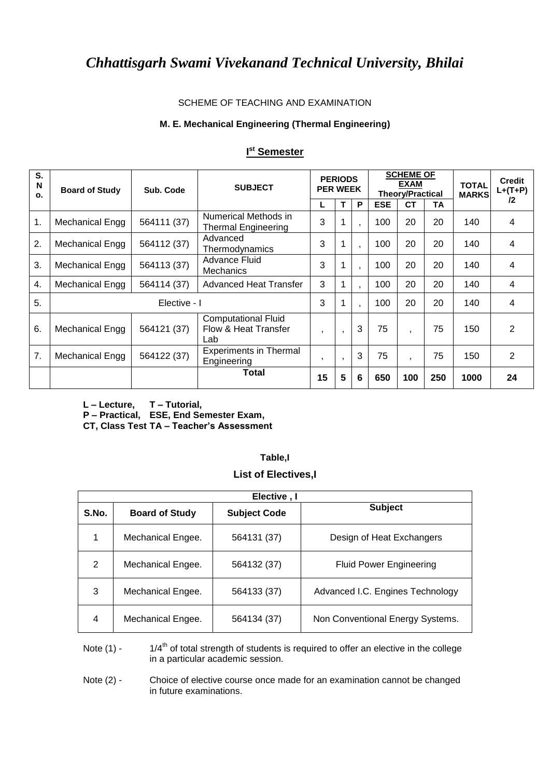#### SCHEME OF TEACHING AND EXAMINATION

#### **M. E. Mechanical Engineering (Thermal Engineering)**

| S.<br>N<br>O. | <b>Board of Study</b> | Sub. Code    | <b>SUBJECT</b>                                            | <b>PERIODS</b><br><b>PER WEEK</b> |              | <b>SCHEME OF</b><br><b>EXAM</b><br><b>TOTAL</b><br><b>Theory/Practical</b><br><b>MARKS</b> |            |                          |     |      |                | <b>Credit</b><br>$L+(T+P)$ |
|---------------|-----------------------|--------------|-----------------------------------------------------------|-----------------------------------|--------------|--------------------------------------------------------------------------------------------|------------|--------------------------|-----|------|----------------|----------------------------|
|               |                       |              |                                                           | L                                 | $\mathbf T$  | P                                                                                          | <b>ESE</b> | <b>CT</b>                | TA  |      | $12 \,$        |                            |
| 1.            | Mechanical Engg       | 564111 (37)  | Numerical Methods in<br><b>Thermal Engineering</b>        | 3                                 | 1            |                                                                                            | 100        | 20                       | 20  | 140  | 4              |                            |
| 2.            | Mechanical Engg       | 564112 (37)  | Advanced<br>Thermodynamics                                | 3                                 | 1            |                                                                                            | 100        | 20                       | 20  | 140  | 4              |                            |
| 3.            | Mechanical Engg       | 564113 (37)  | Advance Fluid<br><b>Mechanics</b>                         | 3                                 | 1            |                                                                                            | 100        | 20                       | 20  | 140  | $\overline{4}$ |                            |
| 4.            | Mechanical Engg       | 564114 (37)  | <b>Advanced Heat Transfer</b>                             | 3                                 | 1            |                                                                                            | 100        | 20                       | 20  | 140  | 4              |                            |
| 5.            |                       | Elective - I |                                                           | 3                                 | $\mathbf{1}$ |                                                                                            | 100        | 20                       | 20  | 140  | 4              |                            |
| 6.            | Mechanical Engg       | 564121 (37)  | <b>Computational Fluid</b><br>Flow & Heat Transfer<br>Lab | $\overline{\phantom{a}}$          | $\cdot$      | 3                                                                                          | 75         | $\overline{\phantom{a}}$ | 75  | 150  | 2              |                            |
| 7.            | Mechanical Engg       | 564122 (37)  | <b>Experiments in Thermal</b><br>Engineering              | $\overline{\phantom{a}}$          | $\cdot$      | 3                                                                                          | 75         | $\overline{\phantom{a}}$ | 75  | 150  | $\overline{2}$ |                            |
|               |                       |              | Total                                                     | 15                                | 5            | 6                                                                                          | 650        | 100                      | 250 | 1000 | 24             |                            |

### **I st Semester**

**L – Lecture, T – Tutorial,**

**P – Practical, ESE, End Semester Exam,** 

**CT, Class Test TA – Teacher's Assessment**

### **Table,I**

### **List of Electives,I**

|       | Elective, I           |                     |                                  |  |  |  |  |  |  |  |  |
|-------|-----------------------|---------------------|----------------------------------|--|--|--|--|--|--|--|--|
| S.No. | <b>Board of Study</b> | <b>Subject Code</b> | <b>Subject</b>                   |  |  |  |  |  |  |  |  |
| 1     | Mechanical Engee.     | 564131 (37)         | Design of Heat Exchangers        |  |  |  |  |  |  |  |  |
| 2     | Mechanical Engee.     | 564132 (37)         | <b>Fluid Power Engineering</b>   |  |  |  |  |  |  |  |  |
| 3     | Mechanical Engee.     | 564133 (37)         | Advanced I.C. Engines Technology |  |  |  |  |  |  |  |  |
| 4     | Mechanical Engee.     | 564134 (37)         | Non Conventional Energy Systems. |  |  |  |  |  |  |  |  |

Note  $(1)$  - 1/4<sup>th</sup> of total strength of students is required to offer an elective in the college in a particular academic session.

Note (2) - Choice of elective course once made for an examination cannot be changed in future examinations.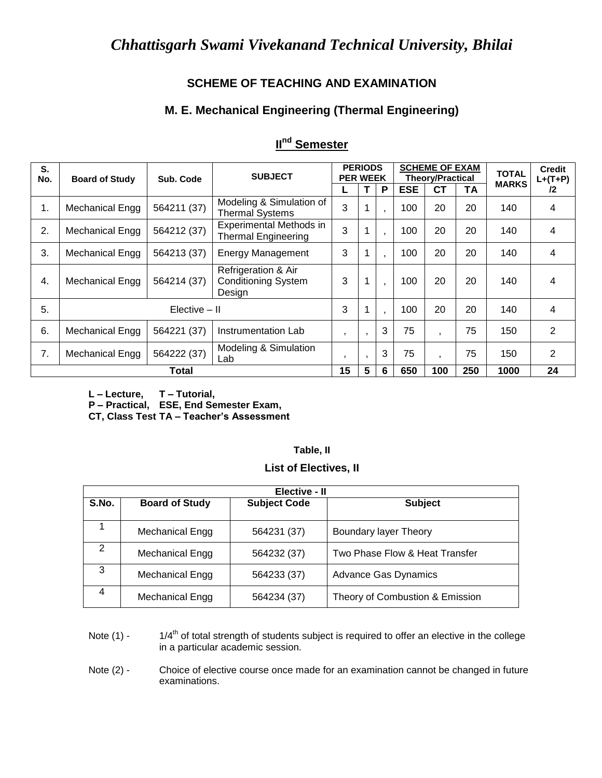### **SCHEME OF TEACHING AND EXAMINATION**

### **M. E. Mechanical Engineering (Thermal Engineering)**

| S.  |                        |             | <b>PERIODS</b>                                              |                          |                |     | <b>SCHEME OF EXAM</b>   |              |              | <b>Credit</b> |         |
|-----|------------------------|-------------|-------------------------------------------------------------|--------------------------|----------------|-----|-------------------------|--------------|--------------|---------------|---------|
| No. | <b>Board of Study</b>  | Sub. Code   | <b>SUBJECT</b>                                              | <b>PER WEEK</b>          |                |     | <b>Theory/Practical</b> |              | <b>TOTAL</b> | $L+(T+P)$     |         |
|     |                        |             |                                                             |                          | T              | P   | <b>ESE</b>              | <b>CT</b>    | ΤA           | <b>MARKS</b>  | $12 \,$ |
| 1.  | <b>Mechanical Engg</b> | 564211 (37) | Modeling & Simulation of<br><b>Thermal Systems</b>          | 3                        | 1              |     | 100                     | 20           | 20           | 140           | 4       |
| 2.  | Mechanical Engg        | 564212 (37) | Experimental Methods in<br><b>Thermal Engineering</b>       | 3                        | 1              |     | 100                     | 20           | 20           | 140           | 4       |
| 3.  | Mechanical Engg        | 564213 (37) | <b>Energy Management</b>                                    | 3                        | 1              |     | 100                     | 20           | 20           | 140           | 4       |
| 4.  | Mechanical Engg        | 564214 (37) | Refrigeration & Air<br><b>Conditioning System</b><br>Design | 3                        | 1              |     | 100                     | 20           | 20           | 140           | 4       |
| 5.  | Elective - II          |             | 3                                                           | 1                        |                | 100 | 20                      | 20           | 140          | 4             |         |
| 6.  | Mechanical Engg        | 564221 (37) | Instrumentation Lab                                         | $\mathbf{r}$             | $\mathbf{r}$   | 3   | 75                      | $\mathbf{I}$ | 75           | 150           | 2       |
| 7.  | <b>Mechanical Engg</b> | 564222 (37) | Modeling & Simulation<br>Lab                                | $\overline{\phantom{a}}$ | $\cdot$        | 3   | 75                      | $\mathbf{I}$ | 75           | 150           | 2       |
|     | <b>Total</b>           |             |                                                             | 15                       | $5\phantom{1}$ | 6   | 650                     | 100          | 250          | 1000          | 24      |

### **II nd Semester**

**L – Lecture, T – Tutorial,**

**P – Practical, ESE, End Semester Exam,** 

**CT, Class Test TA – Teacher's Assessment**

# **Table, II**

| <b>List of Electives, II</b> |  |  |  |  |  |
|------------------------------|--|--|--|--|--|
|------------------------------|--|--|--|--|--|

|       | Elective - II         |                     |                                 |  |  |  |  |  |  |  |
|-------|-----------------------|---------------------|---------------------------------|--|--|--|--|--|--|--|
| S.No. | <b>Board of Study</b> | <b>Subject Code</b> | <b>Subject</b>                  |  |  |  |  |  |  |  |
|       |                       |                     |                                 |  |  |  |  |  |  |  |
|       | Mechanical Engg       | 564231 (37)         | <b>Boundary layer Theory</b>    |  |  |  |  |  |  |  |
| 2     | Mechanical Engg       | 564232 (37)         | Two Phase Flow & Heat Transfer  |  |  |  |  |  |  |  |
|       |                       |                     |                                 |  |  |  |  |  |  |  |
| 3     | Mechanical Engg       | 564233 (37)         | <b>Advance Gas Dynamics</b>     |  |  |  |  |  |  |  |
| 4     | Mechanical Engg       | 564234 (37)         | Theory of Combustion & Emission |  |  |  |  |  |  |  |

Note  $(1)$  - 1/4<sup>th</sup> of total strength of students subject is required to offer an elective in the college in a particular academic session.

Note (2) - Choice of elective course once made for an examination cannot be changed in future examinations.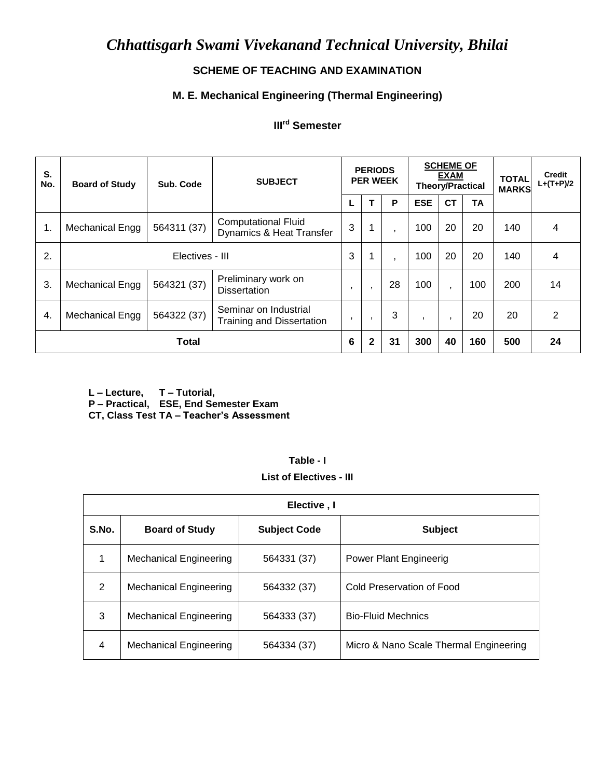### **SCHEME OF TEACHING AND EXAMINATION**

## **M. E. Mechanical Engineering (Thermal Engineering)**

### **IIIrd Semester**

| S.<br>No.    | <b>Board of Study</b> | Sub. Code   | <b>SUBJECT</b>                                                    |         | <b>PERIODS</b><br><b>PER WEEK</b> |                |            |                | <b>SCHEME OF</b><br><b>EXAM</b><br><b>Theory/Practical</b> |     | <b>Credit</b><br>$L+(T+P)/2$ |
|--------------|-----------------------|-------------|-------------------------------------------------------------------|---------|-----------------------------------|----------------|------------|----------------|------------------------------------------------------------|-----|------------------------------|
|              |                       |             |                                                                   |         |                                   | P              | <b>ESE</b> | <b>CT</b>      | <b>TA</b>                                                  |     |                              |
| 1.           | Mechanical Engg       | 564311 (37) | <b>Computational Fluid</b><br><b>Dynamics &amp; Heat Transfer</b> | 3       | $\mathbf 1$                       | $\overline{ }$ | 100        | 20             | 20                                                         | 140 | 4                            |
| 2.           | Electives - III       |             |                                                                   | 3       | $\mathbf 1$                       | $\overline{ }$ | 100        | 20             | 20                                                         | 140 | 4                            |
| 3.           | Mechanical Engg       | 564321 (37) | Preliminary work on<br><b>Dissertation</b>                        | $\cdot$ | $\overline{ }$                    | 28             | 100        | $\overline{ }$ | 100                                                        | 200 | 14                           |
| 4.           | Mechanical Engg       | 564322 (37) | Seminar on Industrial<br><b>Training and Dissertation</b>         | $\cdot$ | $\mathbf{I}$                      | 3              | $\cdot$    | $\mathbf{I}$   | 20                                                         | 20  | $\overline{2}$               |
| <b>Total</b> |                       |             |                                                                   | 6       | $\mathbf{2}$                      | 31             | 300        | 40             | 160                                                        | 500 | 24                           |

**L – Lecture, T – Tutorial,**

**P – Practical, ESE, End Semester Exam**

**CT, Class Test TA – Teacher's Assessment**

### **Table - I**

**List of Electives - III**

|                                                       | Elective, I                   |                |                                        |  |  |  |  |  |  |  |  |
|-------------------------------------------------------|-------------------------------|----------------|----------------------------------------|--|--|--|--|--|--|--|--|
| S.No.<br><b>Board of Study</b><br><b>Subject Code</b> |                               | <b>Subject</b> |                                        |  |  |  |  |  |  |  |  |
|                                                       | <b>Mechanical Engineering</b> | 564331 (37)    | <b>Power Plant Engineerig</b>          |  |  |  |  |  |  |  |  |
| 2                                                     | <b>Mechanical Engineering</b> | 564332 (37)    | Cold Preservation of Food              |  |  |  |  |  |  |  |  |
| 3                                                     | <b>Mechanical Engineering</b> | 564333 (37)    | <b>Bio-Fluid Mechnics</b>              |  |  |  |  |  |  |  |  |
| 4                                                     | <b>Mechanical Engineering</b> | 564334 (37)    | Micro & Nano Scale Thermal Engineering |  |  |  |  |  |  |  |  |